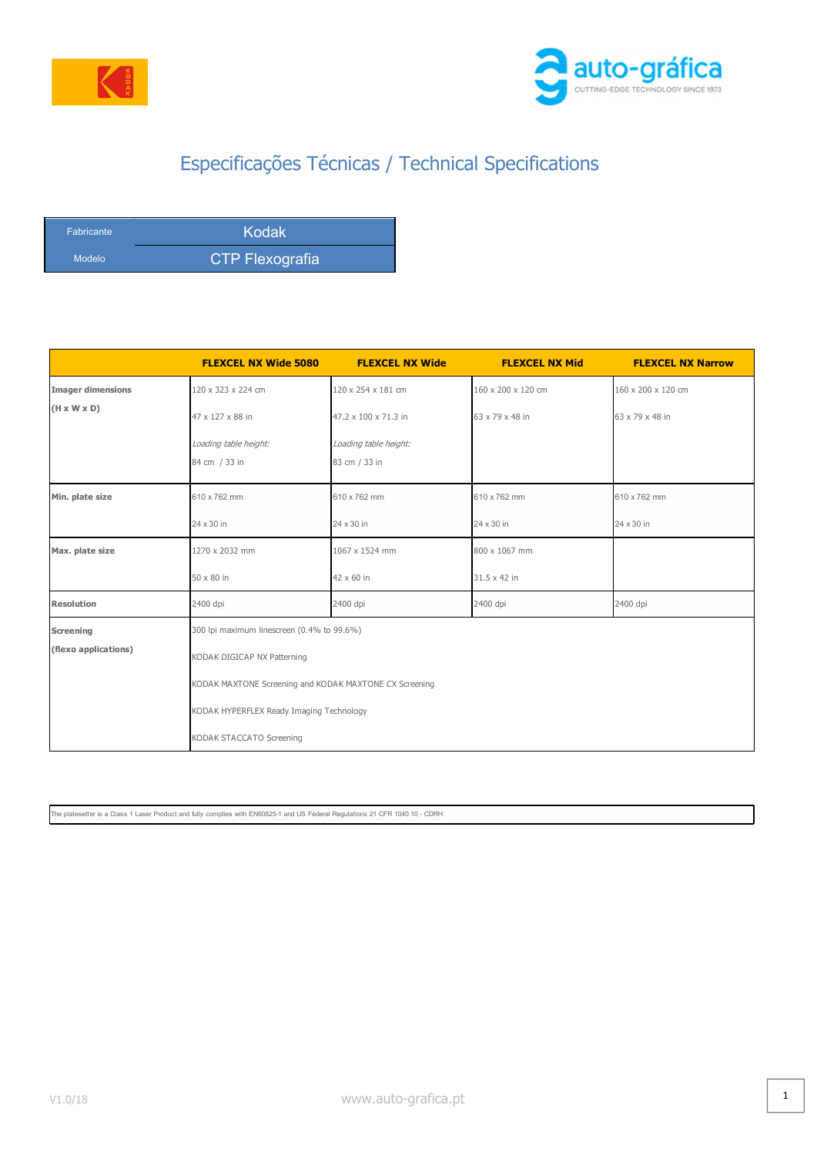



## Especificações Técnicas / Technical Specifications

| <b>Fabricante</b> | <b>Kodak</b>    |
|-------------------|-----------------|
| Modelo            | CTP Flexografia |

|                          | <b>FLEXCEL NX Wide 5080</b>                                                                                                                                                                                 | <b>FLEXCEL NX Wide</b>                 | <b>FLEXCEL NX Mid</b> | <b>FLEXCEL NX Narrow</b> |  |
|--------------------------|-------------------------------------------------------------------------------------------------------------------------------------------------------------------------------------------------------------|----------------------------------------|-----------------------|--------------------------|--|
| <b>Imager dimensions</b> | 120 x 323 x 224 cm                                                                                                                                                                                          | 120 x 254 x 181 cm                     | 160 x 200 x 120 cm    | 160 x 200 x 120 cm       |  |
| $(H \times W \times D)$  | 47 x 127 x 88 in                                                                                                                                                                                            | 47.2 x 100 x 71.3 in                   | 63 x 79 x 48 in       | 63 x 79 x 48 in          |  |
|                          | Loading table height:<br>84 cm / 33 in                                                                                                                                                                      | Loading table height:<br>83 cm / 33 in |                       |                          |  |
| Min. plate size          | 610 x 762 mm                                                                                                                                                                                                | 610 x 762 mm                           | 610 x 762 mm          | 610 x 762 mm             |  |
|                          | 24 x 30 in                                                                                                                                                                                                  | 24 x 30 in                             | 24 x 30 in            | 24 x 30 in               |  |
| Max. plate size          | 1270 x 2032 mm                                                                                                                                                                                              | 1067 x 1524 mm                         | 800 x 1067 mm         |                          |  |
|                          | 50 x 80 in                                                                                                                                                                                                  | 42 x 60 in                             | 31.5 x 42 in          |                          |  |
| <b>Resolution</b>        | 2400 dpi                                                                                                                                                                                                    | 2400 dpi                               | 2400 dpi              | 2400 dpi                 |  |
| Screening                | 300 lpi maximum linescreen (0.4% to 99.6%)<br>KODAK DIGICAP NX Patterning<br>KODAK MAXTONE Screening and KODAK MAXTONE CX Screening<br>KODAK HYPERFLEX Ready Imaging Technology<br>KODAK STACCATO Screening |                                        |                       |                          |  |
| (flexo applications)     |                                                                                                                                                                                                             |                                        |                       |                          |  |
|                          |                                                                                                                                                                                                             |                                        |                       |                          |  |
|                          |                                                                                                                                                                                                             |                                        |                       |                          |  |
|                          |                                                                                                                                                                                                             |                                        |                       |                          |  |

The platesetter is a Class 1 Laser Product and fully complies with EN60825-1 and US Federal Regulations 21 CFR 1040.10 - CDRH.